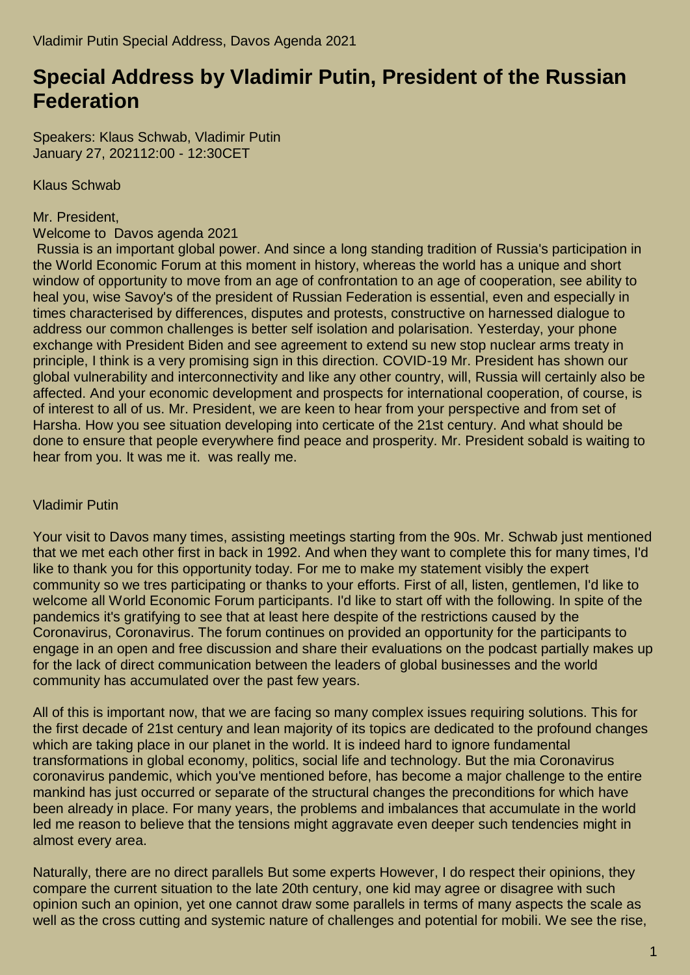## **Special Address by Vladimir Putin, President of the Russian Federation**

Speakers: Klaus Schwab, Vladimir Putin January 27, 202112:00 - 12:30CET

Klaus Schwab

## Mr. President,

Welcome to Davos agenda 2021

Russia is an important global power. And since a long standing tradition of Russia's participation in the World Economic Forum at this moment in history, whereas the world has a unique and short window of opportunity to move from an age of confrontation to an age of cooperation, see ability to heal you, wise Savoy's of the president of Russian Federation is essential, even and especially in times characterised by differences, disputes and protests, constructive on harnessed dialogue to address our common challenges is better self isolation and polarisation. Yesterday, your phone exchange with President Biden and see agreement to extend su new stop nuclear arms treaty in principle, I think is a very promising sign in this direction. COVID-19 Mr. President has shown our global vulnerability and interconnectivity and like any other country, will, Russia will certainly also be affected. And your economic development and prospects for international cooperation, of course, is of interest to all of us. Mr. President, we are keen to hear from your perspective and from set of Harsha. How you see situation developing into certicate of the 21st century. And what should be done to ensure that people everywhere find peace and prosperity. Mr. President sobald is waiting to hear from you. It was me it. was really me.

## Vladimir Putin

Your visit to Davos many times, assisting meetings starting from the 90s. Mr. Schwab just mentioned that we met each other first in back in 1992. And when they want to complete this for many times, I'd like to thank you for this opportunity today. For me to make my statement visibly the expert community so we tres participating or thanks to your efforts. First of all, listen, gentlemen, I'd like to welcome all World Economic Forum participants. I'd like to start off with the following. In spite of the pandemics it's gratifying to see that at least here despite of the restrictions caused by the Coronavirus, Coronavirus. The forum continues on provided an opportunity for the participants to engage in an open and free discussion and share their evaluations on the podcast partially makes up for the lack of direct communication between the leaders of global businesses and the world community has accumulated over the past few years.

All of this is important now, that we are facing so many complex issues requiring solutions. This for the first decade of 21st century and lean majority of its topics are dedicated to the profound changes which are taking place in our planet in the world. It is indeed hard to ignore fundamental transformations in global economy, politics, social life and technology. But the mia Coronavirus coronavirus pandemic, which you've mentioned before, has become a major challenge to the entire mankind has just occurred or separate of the structural changes the preconditions for which have been already in place. For many years, the problems and imbalances that accumulate in the world led me reason to believe that the tensions might aggravate even deeper such tendencies might in almost every area.

Naturally, there are no direct parallels But some experts However, I do respect their opinions, they compare the current situation to the late 20th century, one kid may agree or disagree with such opinion such an opinion, yet one cannot draw some parallels in terms of many aspects the scale as well as the cross cutting and systemic nature of challenges and potential for mobili. We see the rise,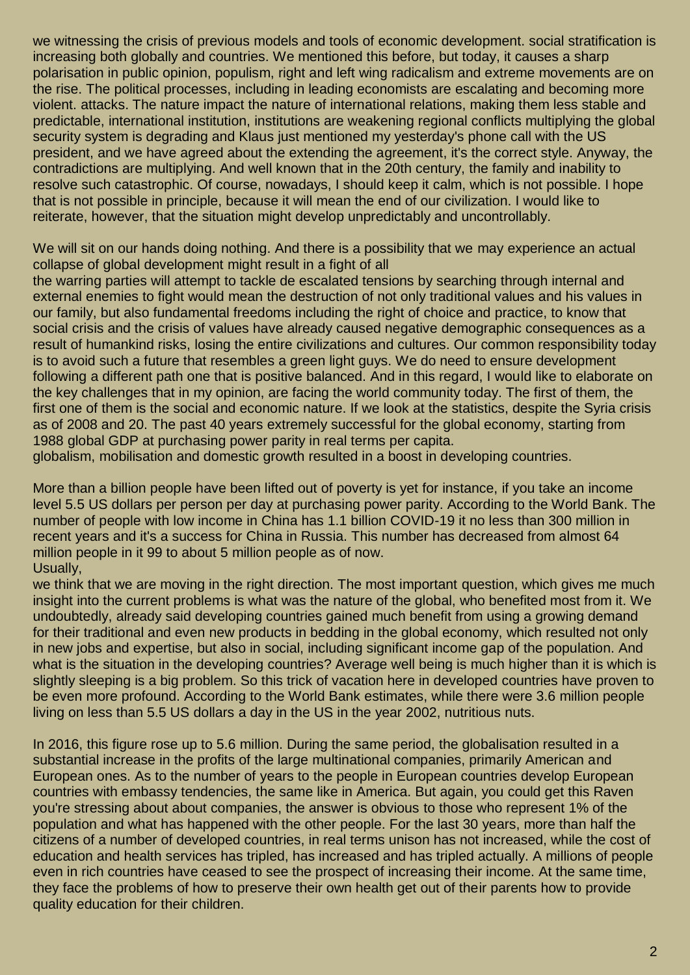we witnessing the crisis of previous models and tools of economic development. social stratification is increasing both globally and countries. We mentioned this before, but today, it causes a sharp polarisation in public opinion, populism, right and left wing radicalism and extreme movements are on the rise. The political processes, including in leading economists are escalating and becoming more violent. attacks. The nature impact the nature of international relations, making them less stable and predictable, international institution, institutions are weakening regional conflicts multiplying the global security system is degrading and Klaus just mentioned my vesterday's phone call with the US president, and we have agreed about the extending the agreement, it's the correct style. Anyway, the contradictions are multiplying. And well known that in the 20th century, the family and inability to resolve such catastrophic. Of course, nowadays, I should keep it calm, which is not possible. I hope that is not possible in principle, because it will mean the end of our civilization. I would like to reiterate, however, that the situation might develop unpredictably and uncontrollably.

We will sit on our hands doing nothing. And there is a possibility that we may experience an actual collapse of global development might result in a fight of all

the warring parties will attempt to tackle de escalated tensions by searching through internal and external enemies to fight would mean the destruction of not only traditional values and his values in our family, but also fundamental freedoms including the right of choice and practice, to know that social crisis and the crisis of values have already caused negative demographic consequences as a result of humankind risks, losing the entire civilizations and cultures. Our common responsibility today is to avoid such a future that resembles a green light guys. We do need to ensure development following a different path one that is positive balanced. And in this regard, I would like to elaborate on the key challenges that in my opinion, are facing the world community today. The first of them, the first one of them is the social and economic nature. If we look at the statistics, despite the Syria crisis as of 2008 and 20. The past 40 years extremely successful for the global economy, starting from 1988 global GDP at purchasing power parity in real terms per capita.

globalism, mobilisation and domestic growth resulted in a boost in developing countries.

More than a billion people have been lifted out of poverty is yet for instance, if you take an income level 5.5 US dollars per person per day at purchasing power parity. According to the World Bank. The number of people with low income in China has 1.1 billion COVID-19 it no less than 300 million in recent years and it's a success for China in Russia. This number has decreased from almost 64 million people in it 99 to about 5 million people as of now. Usually,

we think that we are moving in the right direction. The most important question, which gives me much insight into the current problems is what was the nature of the global, who benefited most from it. We undoubtedly, already said developing countries gained much benefit from using a growing demand for their traditional and even new products in bedding in the global economy, which resulted not only in new jobs and expertise, but also in social, including significant income gap of the population. And what is the situation in the developing countries? Average well being is much higher than it is which is slightly sleeping is a big problem. So this trick of vacation here in developed countries have proven to be even more profound. According to the World Bank estimates, while there were 3.6 million people living on less than 5.5 US dollars a day in the US in the year 2002, nutritious nuts.

In 2016, this figure rose up to 5.6 million. During the same period, the globalisation resulted in a substantial increase in the profits of the large multinational companies, primarily American and European ones. As to the number of years to the people in European countries develop European countries with embassy tendencies, the same like in America. But again, you could get this Raven you're stressing about about companies, the answer is obvious to those who represent 1% of the population and what has happened with the other people. For the last 30 years, more than half the citizens of a number of developed countries, in real terms unison has not increased, while the cost of education and health services has tripled, has increased and has tripled actually. A millions of people even in rich countries have ceased to see the prospect of increasing their income. At the same time, they face the problems of how to preserve their own health get out of their parents how to provide quality education for their children.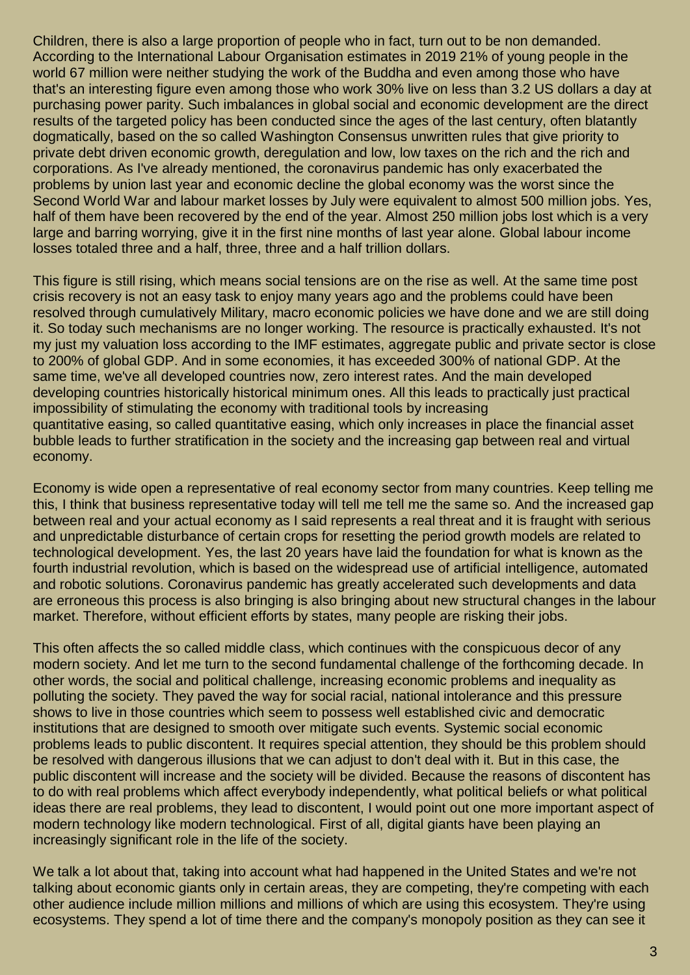Children, there is also a large proportion of people who in fact, turn out to be non demanded. According to the International Labour Organisation estimates in 2019 21% of young people in the world 67 million were neither studying the work of the Buddha and even among those who have that's an interesting figure even among those who work 30% live on less than 3.2 US dollars a day at purchasing power parity. Such imbalances in global social and economic development are the direct results of the targeted policy has been conducted since the ages of the last century, often blatantly dogmatically, based on the so called Washington Consensus unwritten rules that give priority to private debt driven economic growth, deregulation and low, low taxes on the rich and the rich and corporations. As I've already mentioned, the coronavirus pandemic has only exacerbated the problems by union last year and economic decline the global economy was the worst since the Second World War and labour market losses by July were equivalent to almost 500 million jobs. Yes, half of them have been recovered by the end of the year. Almost 250 million jobs lost which is a very large and barring worrying, give it in the first nine months of last year alone. Global labour income losses totaled three and a half, three, three and a half trillion dollars.

This figure is still rising, which means social tensions are on the rise as well. At the same time post crisis recovery is not an easy task to enjoy many years ago and the problems could have been resolved through cumulatively Military, macro economic policies we have done and we are still doing it. So today such mechanisms are no longer working. The resource is practically exhausted. It's not my just my valuation loss according to the IMF estimates, aggregate public and private sector is close to 200% of global GDP. And in some economies, it has exceeded 300% of national GDP. At the same time, we've all developed countries now, zero interest rates. And the main developed developing countries historically historical minimum ones. All this leads to practically just practical impossibility of stimulating the economy with traditional tools by increasing quantitative easing, so called quantitative easing, which only increases in place the financial asset bubble leads to further stratification in the society and the increasing gap between real and virtual economy.

Economy is wide open a representative of real economy sector from many countries. Keep telling me this, I think that business representative today will tell me tell me the same so. And the increased gap between real and your actual economy as I said represents a real threat and it is fraught with serious and unpredictable disturbance of certain crops for resetting the period growth models are related to technological development. Yes, the last 20 years have laid the foundation for what is known as the fourth industrial revolution, which is based on the widespread use of artificial intelligence, automated and robotic solutions. Coronavirus pandemic has greatly accelerated such developments and data are erroneous this process is also bringing is also bringing about new structural changes in the labour market. Therefore, without efficient efforts by states, many people are risking their jobs.

This often affects the so called middle class, which continues with the conspicuous decor of any modern society. And let me turn to the second fundamental challenge of the forthcoming decade. In other words, the social and political challenge, increasing economic problems and inequality as polluting the society. They paved the way for social racial, national intolerance and this pressure shows to live in those countries which seem to possess well established civic and democratic institutions that are designed to smooth over mitigate such events. Systemic social economic problems leads to public discontent. It requires special attention, they should be this problem should be resolved with dangerous illusions that we can adjust to don't deal with it. But in this case, the public discontent will increase and the society will be divided. Because the reasons of discontent has to do with real problems which affect everybody independently, what political beliefs or what political ideas there are real problems, they lead to discontent, I would point out one more important aspect of modern technology like modern technological. First of all, digital giants have been playing an increasingly significant role in the life of the society.

We talk a lot about that, taking into account what had happened in the United States and we're not talking about economic giants only in certain areas, they are competing, they're competing with each other audience include million millions and millions of which are using this ecosystem. They're using ecosystems. They spend a lot of time there and the company's monopoly position as they can see it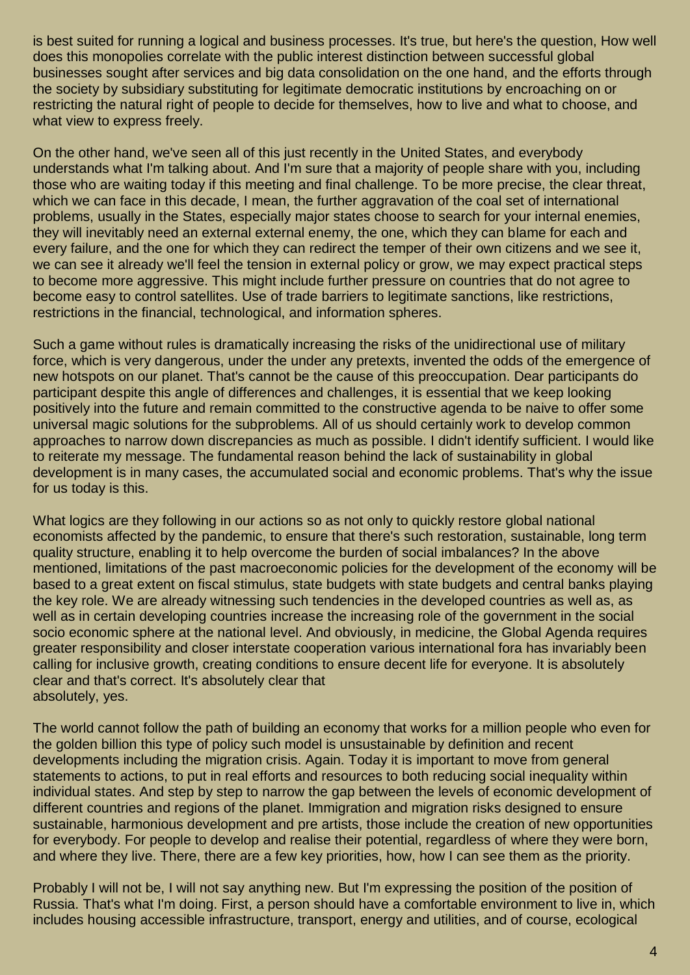is best suited for running a logical and business processes. It's true, but here's the question, How well does this monopolies correlate with the public interest distinction between successful global businesses sought after services and big data consolidation on the one hand, and the efforts through the society by subsidiary substituting for legitimate democratic institutions by encroaching on or restricting the natural right of people to decide for themselves, how to live and what to choose, and what view to express freely.

On the other hand, we've seen all of this just recently in the United States, and everybody understands what I'm talking about. And I'm sure that a majority of people share with you, including those who are waiting today if this meeting and final challenge. To be more precise, the clear threat, which we can face in this decade, I mean, the further aggravation of the coal set of international problems, usually in the States, especially major states choose to search for your internal enemies, they will inevitably need an external external enemy, the one, which they can blame for each and every failure, and the one for which they can redirect the temper of their own citizens and we see it, we can see it already we'll feel the tension in external policy or grow, we may expect practical steps to become more aggressive. This might include further pressure on countries that do not agree to become easy to control satellites. Use of trade barriers to legitimate sanctions, like restrictions, restrictions in the financial, technological, and information spheres.

Such a game without rules is dramatically increasing the risks of the unidirectional use of military force, which is very dangerous, under the under any pretexts, invented the odds of the emergence of new hotspots on our planet. That's cannot be the cause of this preoccupation. Dear participants do participant despite this angle of differences and challenges, it is essential that we keep looking positively into the future and remain committed to the constructive agenda to be naive to offer some universal magic solutions for the subproblems. All of us should certainly work to develop common approaches to narrow down discrepancies as much as possible. I didn't identify sufficient. I would like to reiterate my message. The fundamental reason behind the lack of sustainability in global development is in many cases, the accumulated social and economic problems. That's why the issue for us today is this.

What logics are they following in our actions so as not only to quickly restore global national economists affected by the pandemic, to ensure that there's such restoration, sustainable, long term quality structure, enabling it to help overcome the burden of social imbalances? In the above mentioned, limitations of the past macroeconomic policies for the development of the economy will be based to a great extent on fiscal stimulus, state budgets with state budgets and central banks playing the key role. We are already witnessing such tendencies in the developed countries as well as, as well as in certain developing countries increase the increasing role of the government in the social socio economic sphere at the national level. And obviously, in medicine, the Global Agenda requires greater responsibility and closer interstate cooperation various international fora has invariably been calling for inclusive growth, creating conditions to ensure decent life for everyone. It is absolutely clear and that's correct. It's absolutely clear that absolutely, yes.

The world cannot follow the path of building an economy that works for a million people who even for the golden billion this type of policy such model is unsustainable by definition and recent developments including the migration crisis. Again. Today it is important to move from general statements to actions, to put in real efforts and resources to both reducing social inequality within individual states. And step by step to narrow the gap between the levels of economic development of different countries and regions of the planet. Immigration and migration risks designed to ensure sustainable, harmonious development and pre artists, those include the creation of new opportunities for everybody. For people to develop and realise their potential, regardless of where they were born, and where they live. There, there are a few key priorities, how, how I can see them as the priority.

Probably I will not be, I will not say anything new. But I'm expressing the position of the position of Russia. That's what I'm doing. First, a person should have a comfortable environment to live in, which includes housing accessible infrastructure, transport, energy and utilities, and of course, ecological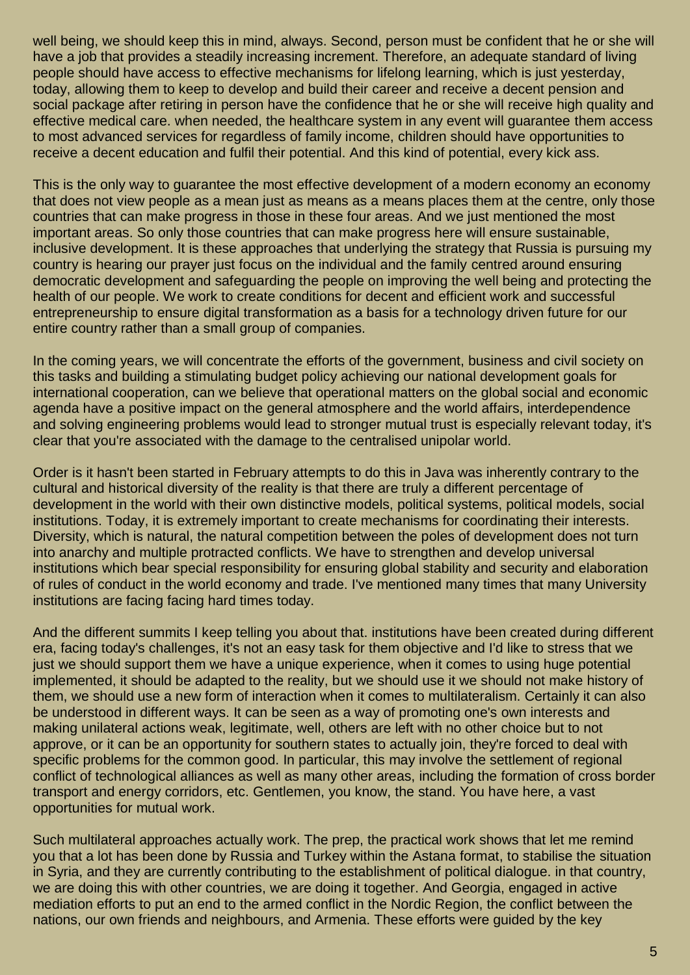well being, we should keep this in mind, always. Second, person must be confident that he or she will have a job that provides a steadily increasing increment. Therefore, an adequate standard of living people should have access to effective mechanisms for lifelong learning, which is just yesterday, today, allowing them to keep to develop and build their career and receive a decent pension and social package after retiring in person have the confidence that he or she will receive high quality and effective medical care. when needed, the healthcare system in any event will guarantee them access to most advanced services for regardless of family income, children should have opportunities to receive a decent education and fulfil their potential. And this kind of potential, every kick ass.

This is the only way to guarantee the most effective development of a modern economy an economy that does not view people as a mean just as means as a means places them at the centre, only those countries that can make progress in those in these four areas. And we just mentioned the most important areas. So only those countries that can make progress here will ensure sustainable, inclusive development. It is these approaches that underlying the strategy that Russia is pursuing my country is hearing our prayer just focus on the individual and the family centred around ensuring democratic development and safeguarding the people on improving the well being and protecting the health of our people. We work to create conditions for decent and efficient work and successful entrepreneurship to ensure digital transformation as a basis for a technology driven future for our entire country rather than a small group of companies.

In the coming years, we will concentrate the efforts of the government, business and civil society on this tasks and building a stimulating budget policy achieving our national development goals for international cooperation, can we believe that operational matters on the global social and economic agenda have a positive impact on the general atmosphere and the world affairs, interdependence and solving engineering problems would lead to stronger mutual trust is especially relevant today, it's clear that you're associated with the damage to the centralised unipolar world.

Order is it hasn't been started in February attempts to do this in Java was inherently contrary to the cultural and historical diversity of the reality is that there are truly a different percentage of development in the world with their own distinctive models, political systems, political models, social institutions. Today, it is extremely important to create mechanisms for coordinating their interests. Diversity, which is natural, the natural competition between the poles of development does not turn into anarchy and multiple protracted conflicts. We have to strengthen and develop universal institutions which bear special responsibility for ensuring global stability and security and elaboration of rules of conduct in the world economy and trade. I've mentioned many times that many University institutions are facing facing hard times today.

And the different summits I keep telling you about that. institutions have been created during different era, facing today's challenges, it's not an easy task for them objective and I'd like to stress that we just we should support them we have a unique experience, when it comes to using huge potential implemented, it should be adapted to the reality, but we should use it we should not make history of them, we should use a new form of interaction when it comes to multilateralism. Certainly it can also be understood in different ways. It can be seen as a way of promoting one's own interests and making unilateral actions weak, legitimate, well, others are left with no other choice but to not approve, or it can be an opportunity for southern states to actually join, they're forced to deal with specific problems for the common good. In particular, this may involve the settlement of regional conflict of technological alliances as well as many other areas, including the formation of cross border transport and energy corridors, etc. Gentlemen, you know, the stand. You have here, a vast opportunities for mutual work.

Such multilateral approaches actually work. The prep, the practical work shows that let me remind you that a lot has been done by Russia and Turkey within the Astana format, to stabilise the situation in Syria, and they are currently contributing to the establishment of political dialogue. in that country, we are doing this with other countries, we are doing it together. And Georgia, engaged in active mediation efforts to put an end to the armed conflict in the Nordic Region, the conflict between the nations, our own friends and neighbours, and Armenia. These efforts were guided by the key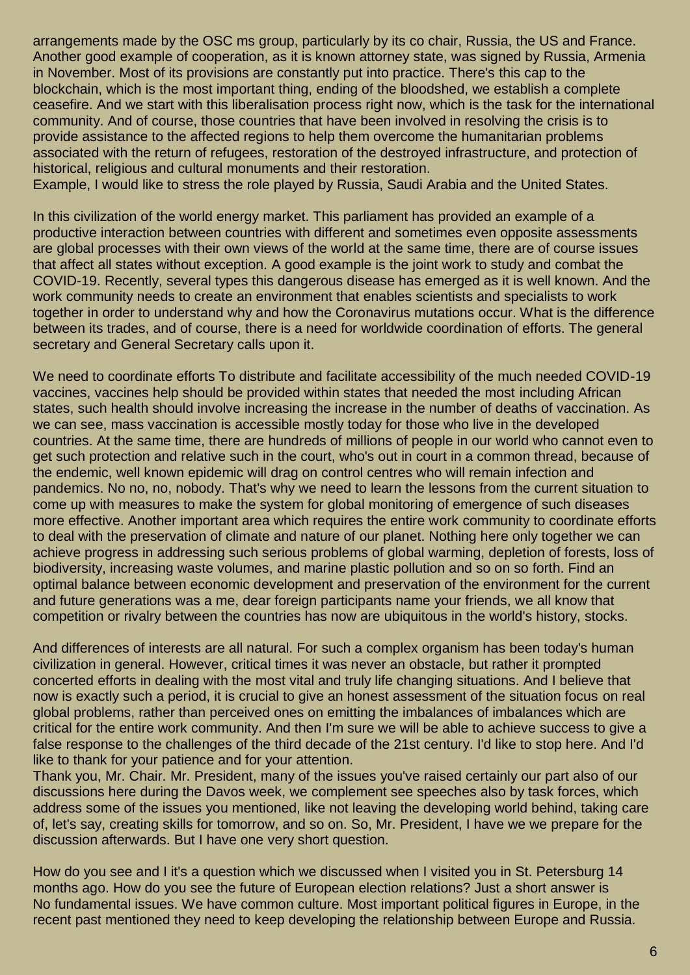arrangements made by the OSC ms group, particularly by its co chair, Russia, the US and France. Another good example of cooperation, as it is known attorney state, was signed by Russia, Armenia in November. Most of its provisions are constantly put into practice. There's this cap to the blockchain, which is the most important thing, ending of the bloodshed, we establish a complete ceasefire. And we start with this liberalisation process right now, which is the task for the international community. And of course, those countries that have been involved in resolving the crisis is to provide assistance to the affected regions to help them overcome the humanitarian problems associated with the return of refugees, restoration of the destroyed infrastructure, and protection of historical, religious and cultural monuments and their restoration.

Example, I would like to stress the role played by Russia, Saudi Arabia and the United States.

In this civilization of the world energy market. This parliament has provided an example of a productive interaction between countries with different and sometimes even opposite assessments are global processes with their own views of the world at the same time, there are of course issues that affect all states without exception. A good example is the joint work to study and combat the COVID-19. Recently, several types this dangerous disease has emerged as it is well known. And the work community needs to create an environment that enables scientists and specialists to work together in order to understand why and how the Coronavirus mutations occur. What is the difference between its trades, and of course, there is a need for worldwide coordination of efforts. The general secretary and General Secretary calls upon it.

We need to coordinate efforts To distribute and facilitate accessibility of the much needed COVID-19 vaccines, vaccines help should be provided within states that needed the most including African states, such health should involve increasing the increase in the number of deaths of vaccination. As we can see, mass vaccination is accessible mostly today for those who live in the developed countries. At the same time, there are hundreds of millions of people in our world who cannot even to get such protection and relative such in the court, who's out in court in a common thread, because of the endemic, well known epidemic will drag on control centres who will remain infection and pandemics. No no, no, nobody. That's why we need to learn the lessons from the current situation to come up with measures to make the system for global monitoring of emergence of such diseases more effective. Another important area which requires the entire work community to coordinate efforts to deal with the preservation of climate and nature of our planet. Nothing here only together we can achieve progress in addressing such serious problems of global warming, depletion of forests, loss of biodiversity, increasing waste volumes, and marine plastic pollution and so on so forth. Find an optimal balance between economic development and preservation of the environment for the current and future generations was a me, dear foreign participants name your friends, we all know that competition or rivalry between the countries has now are ubiquitous in the world's history, stocks.

And differences of interests are all natural. For such a complex organism has been today's human civilization in general. However, critical times it was never an obstacle, but rather it prompted concerted efforts in dealing with the most vital and truly life changing situations. And I believe that now is exactly such a period, it is crucial to give an honest assessment of the situation focus on real global problems, rather than perceived ones on emitting the imbalances of imbalances which are critical for the entire work community. And then I'm sure we will be able to achieve success to give a false response to the challenges of the third decade of the 21st century. I'd like to stop here. And I'd like to thank for your patience and for your attention.

Thank you, Mr. Chair. Mr. President, many of the issues you've raised certainly our part also of our discussions here during the Davos week, we complement see speeches also by task forces, which address some of the issues you mentioned, like not leaving the developing world behind, taking care of, let's say, creating skills for tomorrow, and so on. So, Mr. President, I have we we prepare for the discussion afterwards. But I have one very short question.

How do you see and I it's a question which we discussed when I visited you in St. Petersburg 14 months ago. How do you see the future of European election relations? Just a short answer is No fundamental issues. We have common culture. Most important political figures in Europe, in the recent past mentioned they need to keep developing the relationship between Europe and Russia.